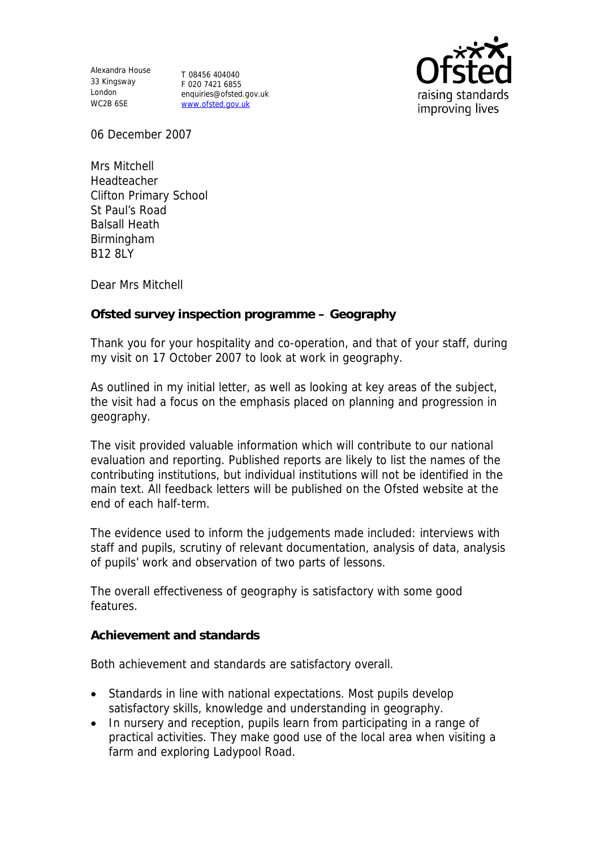Alexandra House 33 Kingsway London WC2B 6SE

T 08456 404040 F 020 7421 6855 enquiries@ofsted.gov.uk www.ofsted.gov.uk



06 December 2007

Mrs Mitchell Headteacher Clifton Primary School St Paul's Road Balsall Heath Birmingham B12 8LY

Dear Mrs Mitchell

**Ofsted survey inspection programme – Geography**

Thank you for your hospitality and co-operation, and that of your staff, during my visit on 17 October 2007 to look at work in geography.

As outlined in my initial letter, as well as looking at key areas of the subject, the visit had a focus on the emphasis placed on planning and progression in geography.

The visit provided valuable information which will contribute to our national evaluation and reporting. Published reports are likely to list the names of the contributing institutions, but individual institutions will not be identified in the main text. All feedback letters will be published on the Ofsted website at the end of each half-term.

The evidence used to inform the judgements made included: interviews with staff and pupils, scrutiny of relevant documentation, analysis of data, analysis of pupils' work and observation of two parts of lessons.

The overall effectiveness of geography is satisfactory with some good features.

**Achievement and standards**

Both achievement and standards are satisfactory overall.

- Standards in line with national expectations. Most pupils develop satisfactory skills, knowledge and understanding in geography.
- In nursery and reception, pupils learn from participating in a range of practical activities. They make good use of the local area when visiting a farm and exploring Ladypool Road.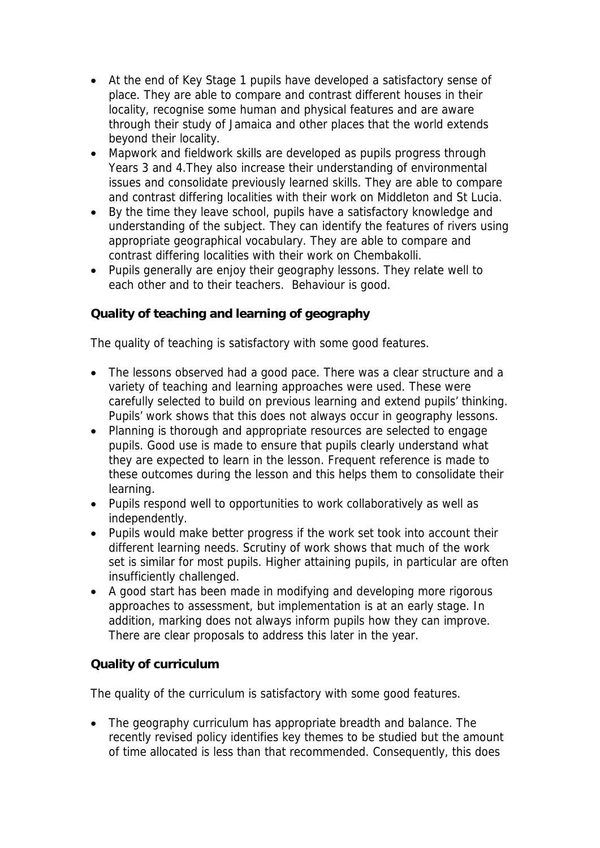- At the end of Key Stage 1 pupils have developed a satisfactory sense of place. They are able to compare and contrast different houses in their locality, recognise some human and physical features and are aware through their study of Jamaica and other places that the world extends beyond their locality.
- Mapwork and fieldwork skills are developed as pupils progress through Years 3 and 4.They also increase their understanding of environmental issues and consolidate previously learned skills. They are able to compare and contrast differing localities with their work on Middleton and St Lucia.
- By the time they leave school, pupils have a satisfactory knowledge and understanding of the subject. They can identify the features of rivers using appropriate geographical vocabulary. They are able to compare and contrast differing localities with their work on Chembakolli.
- Pupils generally are enjoy their geography lessons. They relate well to each other and to their teachers. Behaviour is good.

# **Quality of teaching and learning of geography**

The quality of teaching is satisfactory with some good features.

- The lessons observed had a good pace. There was a clear structure and a variety of teaching and learning approaches were used. These were carefully selected to build on previous learning and extend pupils' thinking. Pupils' work shows that this does not always occur in geography lessons.
- Planning is thorough and appropriate resources are selected to engage pupils. Good use is made to ensure that pupils clearly understand what they are expected to learn in the lesson. Frequent reference is made to these outcomes during the lesson and this helps them to consolidate their learning.
- Pupils respond well to opportunities to work collaboratively as well as independently.
- Pupils would make better progress if the work set took into account their different learning needs. Scrutiny of work shows that much of the work set is similar for most pupils. Higher attaining pupils, in particular are often insufficiently challenged.
- A good start has been made in modifying and developing more rigorous approaches to assessment, but implementation is at an early stage. In addition, marking does not always inform pupils how they can improve. There are clear proposals to address this later in the year.

## **Quality of curriculum**

The quality of the curriculum is satisfactory with some good features.

• The geography curriculum has appropriate breadth and balance. The recently revised policy identifies key themes to be studied but the amount of time allocated is less than that recommended. Consequently, this does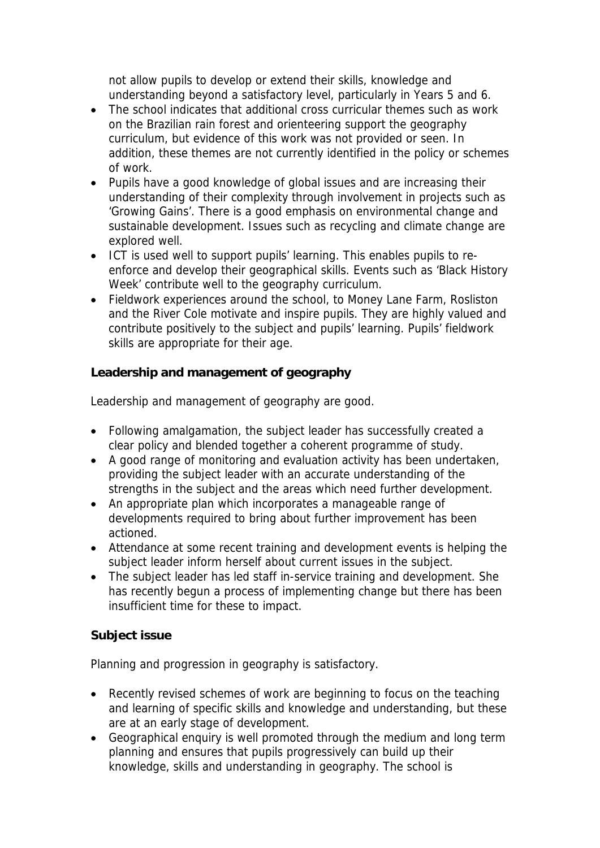not allow pupils to develop or extend their skills, knowledge and understanding beyond a satisfactory level, particularly in Years 5 and 6.

- The school indicates that additional cross curricular themes such as work on the Brazilian rain forest and orienteering support the geography curriculum, but evidence of this work was not provided or seen. In addition, these themes are not currently identified in the policy or schemes of work.
- Pupils have a good knowledge of global issues and are increasing their understanding of their complexity through involvement in projects such as 'Growing Gains'. There is a good emphasis on environmental change and sustainable development. Issues such as recycling and climate change are explored well.
- ICT is used well to support pupils' learning. This enables pupils to reenforce and develop their geographical skills. Events such as 'Black History Week' contribute well to the geography curriculum.
- Fieldwork experiences around the school, to Money Lane Farm, Rosliston and the River Cole motivate and inspire pupils. They are highly valued and contribute positively to the subject and pupils' learning. Pupils' fieldwork skills are appropriate for their age.

**Leadership and management of geography**

Leadership and management of geography are good.

- Following amalgamation, the subject leader has successfully created a clear policy and blended together a coherent programme of study.
- A good range of monitoring and evaluation activity has been undertaken, providing the subject leader with an accurate understanding of the strengths in the subject and the areas which need further development.
- An appropriate plan which incorporates a manageable range of developments required to bring about further improvement has been actioned.
- Attendance at some recent training and development events is helping the subject leader inform herself about current issues in the subject.
- The subject leader has led staff in-service training and development. She has recently begun a process of implementing change but there has been insufficient time for these to impact.

#### **Subject issue**

Planning and progression in geography is satisfactory.

- Recently revised schemes of work are beginning to focus on the teaching and learning of specific skills and knowledge and understanding, but these are at an early stage of development.
- Geographical enquiry is well promoted through the medium and long term planning and ensures that pupils progressively can build up their knowledge, skills and understanding in geography. The school is